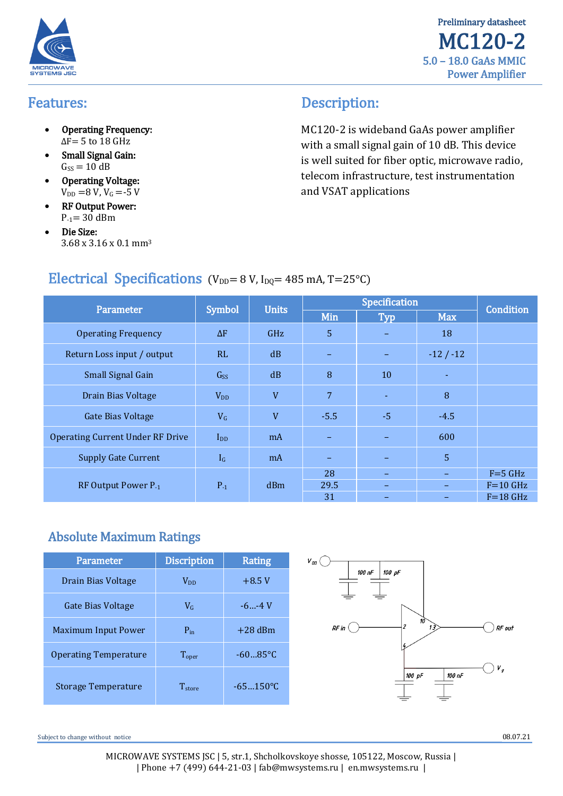



### Features:

- Operating Frequency:  $\Delta$ F = 5 to 18 GHz
- Small Signal Gain:  $Gs = 10 dB$
- Operating Voltage:  $V_{DD} = 8 V, V_G = -5 V$
- RF Output Power:  $P_{-1}$ = 30 dBm
- Die Size: 3.68 х 3.16 х 0.1 mm<sup>3</sup>

# Description:

МС120-2 is wideband GaAs power amplifier with a small signal gain of 10 dB. This device is well suited for fiber optic, microwave radio, telecom infrastructure, test instrumentation and VSAT applications

# Electrical Specifications (V<sub>DD</sub>= 8 V, I<sub>DQ</sub>= 485 mA, T=25°C)

| Parameter                               | <b>Symbol</b> | <b>Units</b> | Specification |            |                          |                  |
|-----------------------------------------|---------------|--------------|---------------|------------|--------------------------|------------------|
|                                         |               |              | Min           | <b>Typ</b> | <b>Max</b>               | <b>Condition</b> |
| <b>Operating Frequency</b>              | $\Delta F$    | <b>GHz</b>   | 5             |            | 18                       |                  |
| Return Loss input / output              | RL            | dB           |               |            | $-12/ -12$               |                  |
| Small Signal Gain                       | Gss           | dB           | 8             | 10         |                          |                  |
| Drain Bias Voltage                      | $V_{DD}$      | V            | 7             |            | 8                        |                  |
| <b>Gate Bias Voltage</b>                | $V_G$         | V            | $-5.5$        | $-5$       | $-4.5$                   |                  |
| <b>Operating Current Under RF Drive</b> | $I_{DD}$      | mA           |               |            | 600                      |                  |
| <b>Supply Gate Current</b>              | $I_G$         | mA           |               |            | 5                        |                  |
|                                         | $P_{-1}$      | dBm          | 28            |            | $\overline{\phantom{0}}$ | $F = 5$ GHz      |
| RF Output Power P-1                     |               |              | 29.5          |            |                          | $F = 10$ GHz     |
|                                         |               |              | 31            |            |                          | $F = 18$ GHz     |

# Absolute Maximum Ratings

| Parameter                    | <b>Discription</b>    | <b>Rating</b> |  |
|------------------------------|-----------------------|---------------|--|
| Drain Bias Voltage           | <b>V<sub>DD</sub></b> | $+8.5V$       |  |
| Gate Bias Voltage            | $V_c$                 | $-6$ $-4$ V   |  |
| <b>Maximum Input Power</b>   | $P_{in}$              | $+28$ dBm     |  |
| <b>Operating Temperature</b> | $T_{\rm oper}$        | $-6085$ °C    |  |
| <b>Storage Temperature</b>   | T <sub>store</sub>    | $-65150$ °C   |  |



Subject to change without notice  $08.07.21$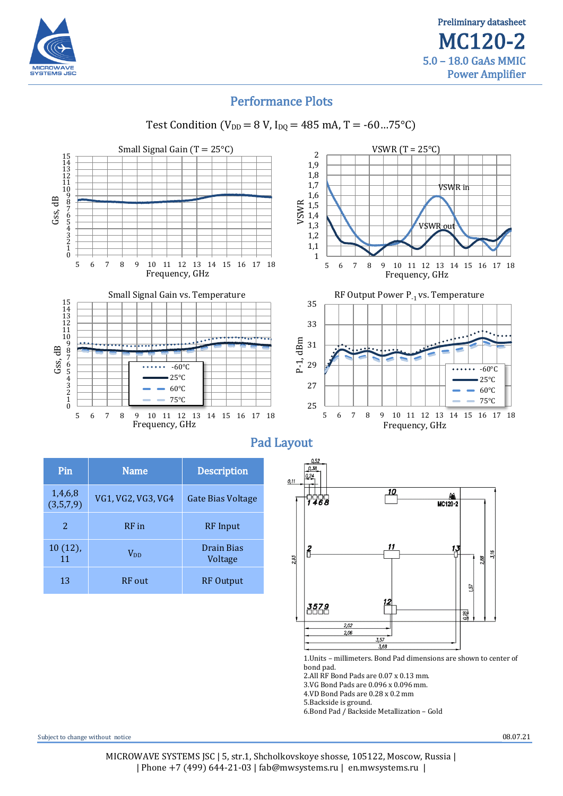

## Performance Plots



Test Condition (V<sub>DD</sub> = 8 V, I<sub>DQ</sub> = 485 mA, T = -60...75°C)

| 'Pin                 | <b>Name</b>        | <b>Description</b>    |  |
|----------------------|--------------------|-----------------------|--|
| 1,4,6,8<br>(3,5,7,9) | VG1, VG2, VG3, VG4 | Gate Bias Voltage     |  |
| 2                    | RF in              | <b>RF</b> Input       |  |
| $10(12)$ ,<br>11     | $V_{DD}$           | Drain Bias<br>Voltage |  |
| 13                   | <b>RF</b> out      | <b>RF</b> Output      |  |

Subject to change without notice  $08.07.21$ 3.VG Bond Pads are 0.096 х 0.096 mm. 4.VD Bond Pads are 0.28 х 0.2 mm 5.Backside is ground. 6.Bond Pad / Backside Metallization – Gold

2.All RF Bond Pads are 0.07 х 0.13 mm.